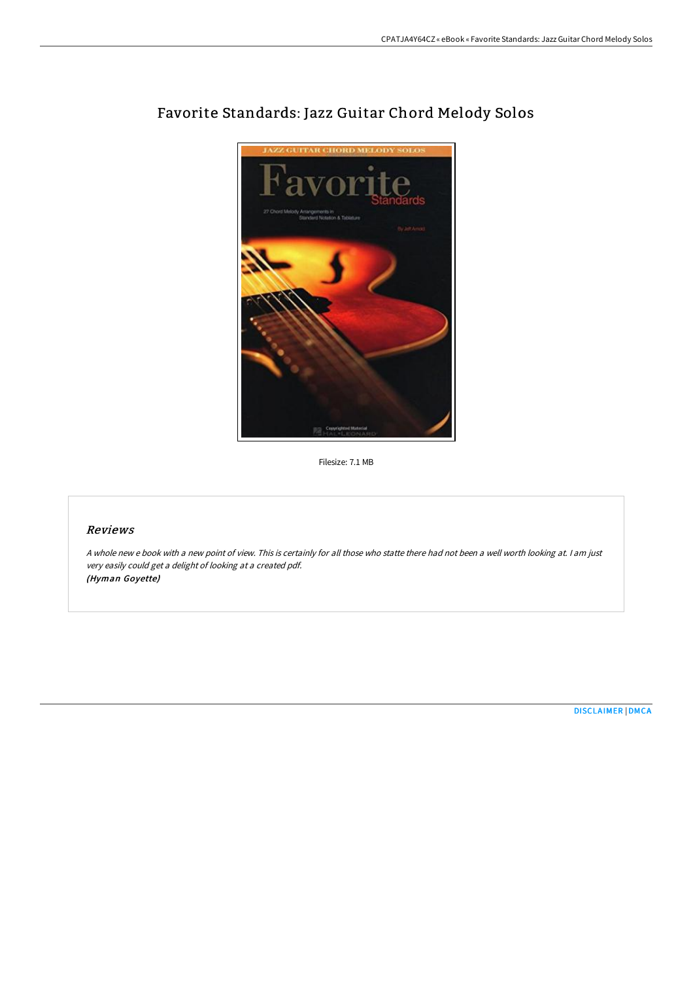

# Favorite Standards: Jazz Guitar Chord Melody Solos

Filesize: 7.1 MB

## Reviews

<sup>A</sup> whole new <sup>e</sup> book with <sup>a</sup> new point of view. This is certainly for all those who statte there had not been <sup>a</sup> well worth looking at. <sup>I</sup> am just very easily could get <sup>a</sup> delight of looking at <sup>a</sup> created pdf. (Hyman Goyette)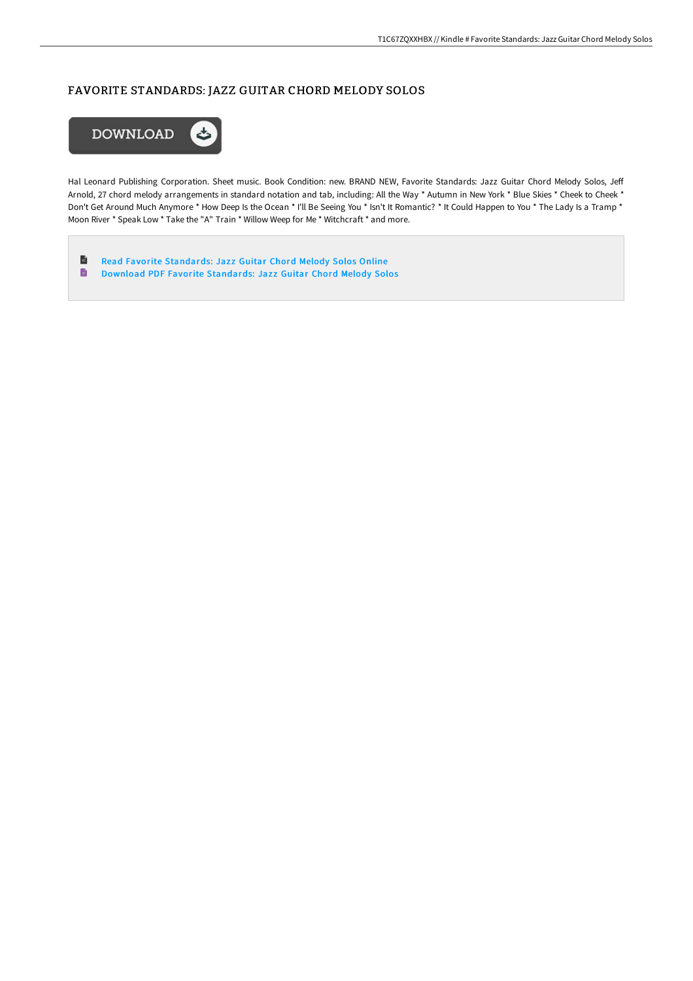## FAVORITE STANDARDS: JAZZ GUITAR CHORD MELODY SOLOS



Hal Leonard Publishing Corporation. Sheet music. Book Condition: new. BRAND NEW, Favorite Standards: Jazz Guitar Chord Melody Solos, Jeff Arnold, 27 chord melody arrangements in standard notation and tab, including: All the Way \* Autumn in New York \* Blue Skies \* Cheek to Cheek \* Don't Get Around Much Anymore \* How Deep Is the Ocean \* I'll Be Seeing You \* Isn't It Romantic? \* It Could Happen to You \* The Lady Is a Tramp \* Moon River \* Speak Low \* Take the "A" Train \* Willow Weep for Me \* Witchcraft \* and more.

 $\blacksquare$ Read Favorite [Standards:](http://techno-pub.tech/favorite-standards-jazz-guitar-chord-melody-solo.html) Jazz Guitar Chord Melody Solos Online  $\blacksquare$ Download PDF Favorite [Standards:](http://techno-pub.tech/favorite-standards-jazz-guitar-chord-melody-solo.html) Jazz Guitar Chord Melody Solos